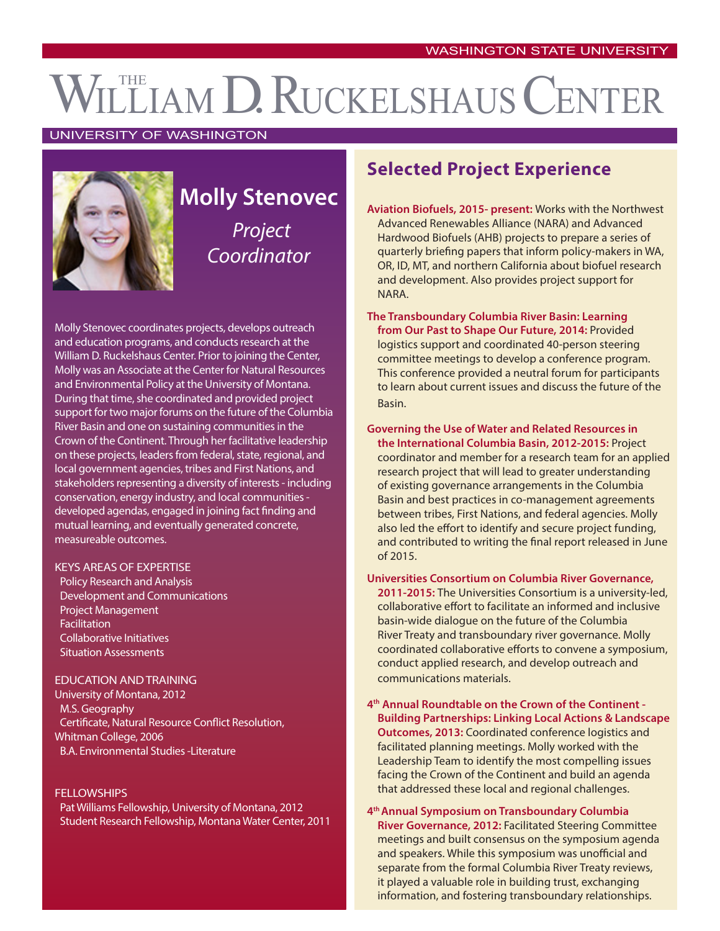# WILLIAM D. RUCKELSHAUS CENTER

#### UNIVERSITY OF WASHINGTON



## **Molly Stenovec** *Project Coordinator*

Molly Stenovec coordinates projects, develops outreach and education programs, and conducts research at the William D. Ruckelshaus Center. Prior to joining the Center, Molly was an Associate at the Center for Natural Resources and Environmental Policy at the University of Montana. During that time, she coordinated and provided project support for two major forums on the future of the Columbia River Basin and one on sustaining communities in the Crown of the Continent. Through her facilitative leadership on these projects, leaders from federal, state, regional, and local government agencies, tribes and First Nations, and stakeholders representing a diversity of interests - including conservation, energy industry, and local communities developed agendas, engaged in joining fact finding and mutual learning, and eventually generated concrete, measureable outcomes.

#### KEYS AREAS OF EXPERTISE

Policy Research and Analysis Development and Communications Project Management Facilitation Collaborative Initiatives Situation Assessments

#### EDUCATION AND TRAINING

University of Montana, 2012 M.S. Geography Certificate, Natural Resource Conflict Resolution, Whitman College, 2006 B.A. Environmental Studies -Literature

#### **FELLOWSHIPS**

Pat Williams Fellowship, University of Montana, 2012 Student Research Fellowship, Montana Water Center, 2011

### **Selected Project Experience**

- **Aviation Biofuels, 2015- present:** Works with the Northwest Advanced Renewables Alliance (NARA) and Advanced Hardwood Biofuels (AHB) projects to prepare a series of quarterly briefing papers that inform policy-makers in WA, OR, ID, MT, and northern California about biofuel research and development. Also provides project support for NARA.
- **The Transboundary Columbia River Basin: Learning from Our Past to Shape Our Future, 2014:** Provided logistics support and coordinated 40-person steering committee meetings to develop a conference program. This conference provided a neutral forum for participants to learn about current issues and discuss the future of the Basin.

**Governing the Use of Water and Related Resources in the International Columbia Basin, 2012-2015:** Project coordinator and member for a research team for an applied research project that will lead to greater understanding of existing governance arrangements in the Columbia Basin and best practices in co-management agreements between tribes, First Nations, and federal agencies. Molly also led the effort to identify and secure project funding, and contributed to writing the final report released in June of 2015.

#### **Universities Consortium on Columbia River Governance,**

**2011-2015:** The Universities Consortium is a university-led, collaborative effort to facilitate an informed and inclusive basin-wide dialogue on the future of the Columbia River Treaty and transboundary river governance. Molly coordinated collaborative efforts to convene a symposium, conduct applied research, and develop outreach and communications materials.

**4th Annual Roundtable on the Crown of the Continent - Building Partnerships: Linking Local Actions & Landscape Outcomes, 2013:** Coordinated conference logistics and facilitated planning meetings. Molly worked with the Leadership Team to identify the most compelling issues facing the Crown of the Continent and build an agenda that addressed these local and regional challenges.

**4th Annual Symposium on Transboundary Columbia River Governance, 2012:** Facilitated Steering Committee meetings and built consensus on the symposium agenda and speakers. While this symposium was unofficial and separate from the formal Columbia River Treaty reviews, it played a valuable role in building trust, exchanging information, and fostering transboundary relationships.